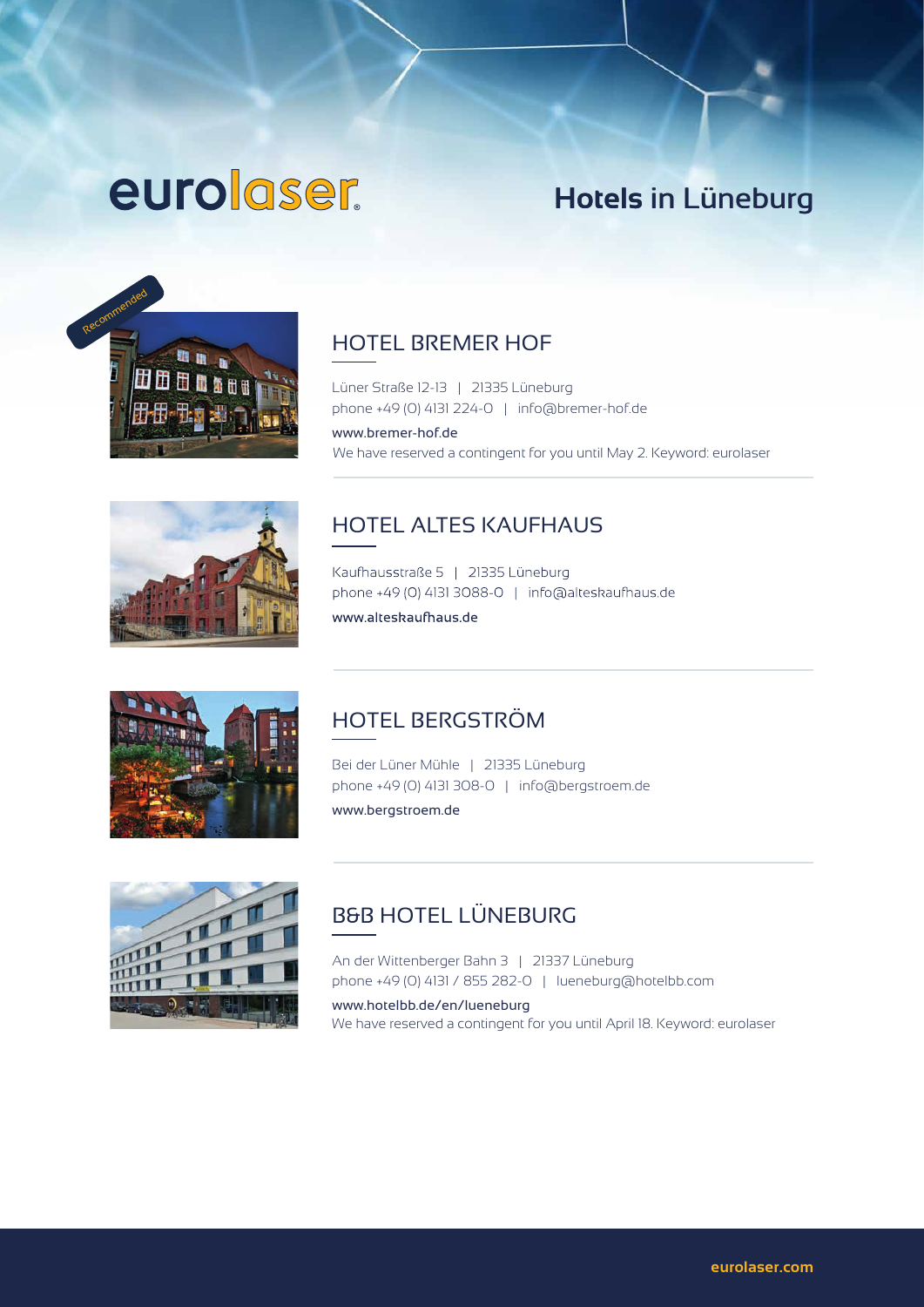# euroloser.

# **Hotels** in Lüneburg



## HOTEL BREMER HOF

Lüner Straße 12-13 | 21335 Lüneburg phone +49 (0) 4131 224-0 | info@bremer-hof.de

www.bremer-hof.de We have reserved a contingent for you until May 2. Keyword: eurolaser



# HOTEL ALTES KAUFHAUS

Kaufhausstraße 5 | 21335 Lüneburg phone +49 (0) 4131 3088-0 | info@alteskaufhaus.de www.alteskaufhaus.de



### HOTEL BERGSTRÖM

Bei der Lüner Mühle | 21335 Lüneburg phone +49 (0) 4131 308-0 | info@bergstroem.de www.bergstroem.de



## B&B HOTEL LÜNEBURG

An der Wittenberger Bahn 3 | 21337 Lüneburg phone +49 (0) 4131 / 855 282-0 | lueneburg@hotelbb.com

www.hotelbb.de/en/lueneburg We have reserved a contingent for you until April 18. Keyword: eurolaser